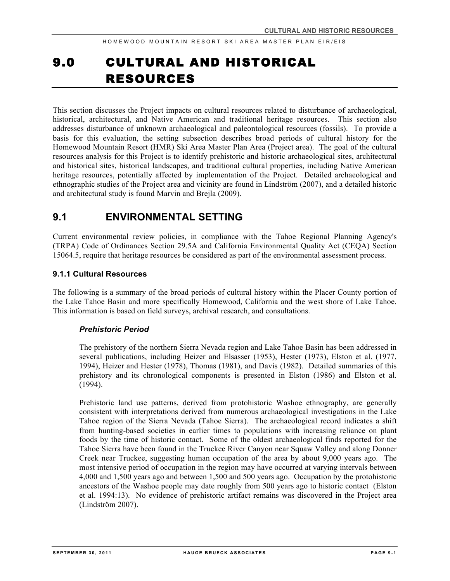# 9.0 CULTURAL AND HISTORICAL RESOURCES

This section discusses the Project impacts on cultural resources related to disturbance of archaeological, historical, architectural, and Native American and traditional heritage resources. This section also addresses disturbance of unknown archaeological and paleontological resources (fossils). To provide a basis for this evaluation, the setting subsection describes broad periods of cultural history for the Homewood Mountain Resort (HMR) Ski Area Master Plan Area (Project area). The goal of the cultural resources analysis for this Project is to identify prehistoric and historic archaeological sites, architectural and historical sites, historical landscapes, and traditional cultural properties, including Native American heritage resources, potentially affected by implementation of the Project. Detailed archaeological and ethnographic studies of the Project area and vicinity are found in Lindström (2007), and a detailed historic and architectural study is found Marvin and Brejla (2009).

# **9.1 ENVIRONMENTAL SETTING**

Current environmental review policies, in compliance with the Tahoe Regional Planning Agency's (TRPA) Code of Ordinances Section 29.5A and California Environmental Quality Act (CEQA) Section 15064.5, require that heritage resources be considered as part of the environmental assessment process.

#### **9.1.1 Cultural Resources**

The following is a summary of the broad periods of cultural history within the Placer County portion of the Lake Tahoe Basin and more specifically Homewood, California and the west shore of Lake Tahoe. This information is based on field surveys, archival research, and consultations.

#### *Prehistoric Period*

The prehistory of the northern Sierra Nevada region and Lake Tahoe Basin has been addressed in several publications, including Heizer and Elsasser (1953), Hester (1973), Elston et al. (1977, 1994), Heizer and Hester (1978), Thomas (1981), and Davis (1982). Detailed summaries of this prehistory and its chronological components is presented in Elston (1986) and Elston et al. (1994).

Prehistoric land use patterns, derived from protohistoric Washoe ethnography, are generally consistent with interpretations derived from numerous archaeological investigations in the Lake Tahoe region of the Sierra Nevada (Tahoe Sierra). The archaeological record indicates a shift from hunting-based societies in earlier times to populations with increasing reliance on plant foods by the time of historic contact. Some of the oldest archaeological finds reported for the Tahoe Sierra have been found in the Truckee River Canyon near Squaw Valley and along Donner Creek near Truckee, suggesting human occupation of the area by about 9,000 years ago. The most intensive period of occupation in the region may have occurred at varying intervals between 4,000 and 1,500 years ago and between 1,500 and 500 years ago. Occupation by the protohistoric ancestors of the Washoe people may date roughly from 500 years ago to historic contact (Elston et al. 1994:13). No evidence of prehistoric artifact remains was discovered in the Project area (Lindström 2007).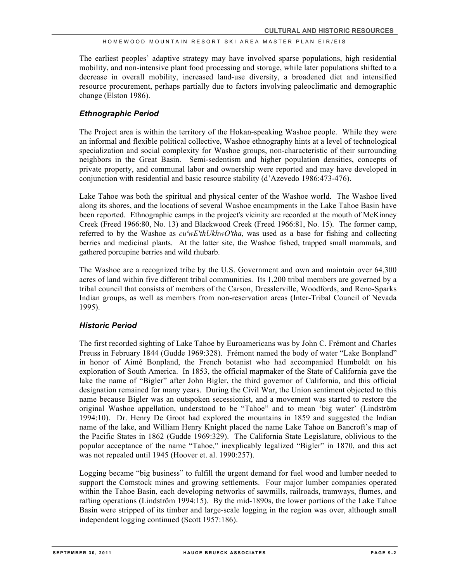The earliest peoples' adaptive strategy may have involved sparse populations, high residential mobility, and non-intensive plant food processing and storage, while later populations shifted to a decrease in overall mobility, increased land-use diversity, a broadened diet and intensified resource procurement, perhaps partially due to factors involving paleoclimatic and demographic change (Elston 1986).

#### *Ethnographic Period*

The Project area is within the territory of the Hokan-speaking Washoe people. While they were an informal and flexible political collective, Washoe ethnography hints at a level of technological specialization and social complexity for Washoe groups, non-characteristic of their surrounding neighbors in the Great Basin. Semi-sedentism and higher population densities, concepts of private property, and communal labor and ownership were reported and may have developed in conjunction with residential and basic resource stability (d'Azevedo 1986:473-476).

Lake Tahoe was both the spiritual and physical center of the Washoe world. The Washoe lived along its shores, and the locations of several Washoe encampments in the Lake Tahoe Basin have been reported. Ethnographic camps in the project's vicinity are recorded at the mouth of McKinney Creek (Freed 1966:80, No. 13) and Blackwood Creek (Freed 1966:81, No. 15). The former camp, referred to by the Washoe as *cu'wE'thUkhwO'tha*, was used as a base for fishing and collecting berries and medicinal plants. At the latter site, the Washoe fished, trapped small mammals, and gathered porcupine berries and wild rhubarb.

The Washoe are a recognized tribe by the U.S. Government and own and maintain over 64,300 acres of land within five different tribal communities. Its 1,200 tribal members are governed by a tribal council that consists of members of the Carson, Dresslerville, Woodfords, and Reno-Sparks Indian groups, as well as members from non-reservation areas (Inter-Tribal Council of Nevada 1995).

#### *Historic Period*

The first recorded sighting of Lake Tahoe by Euroamericans was by John C. Frémont and Charles Preuss in February 1844 (Gudde 1969:328). Frémont named the body of water "Lake Bonpland" in honor of Aimé Bonpland, the French botanist who had accompanied Humboldt on his exploration of South America. In 1853, the official mapmaker of the State of California gave the lake the name of "Bigler" after John Bigler, the third governor of California, and this official designation remained for many years. During the Civil War, the Union sentiment objected to this name because Bigler was an outspoken secessionist, and a movement was started to restore the original Washoe appellation, understood to be "Tahoe" and to mean 'big water' (Lindström 1994:10). Dr. Henry De Groot had explored the mountains in 1859 and suggested the Indian name of the lake, and William Henry Knight placed the name Lake Tahoe on Bancroft's map of the Pacific States in 1862 (Gudde 1969:329). The California State Legislature, oblivious to the popular acceptance of the name "Tahoe," inexplicably legalized "Bigler" in 1870, and this act was not repealed until 1945 (Hoover et. al. 1990:257).

Logging became "big business" to fulfill the urgent demand for fuel wood and lumber needed to support the Comstock mines and growing settlements. Four major lumber companies operated within the Tahoe Basin, each developing networks of sawmills, railroads, tramways, flumes, and rafting operations (Lindström 1994:15). By the mid-1890s, the lower portions of the Lake Tahoe Basin were stripped of its timber and large-scale logging in the region was over, although small independent logging continued (Scott 1957:186).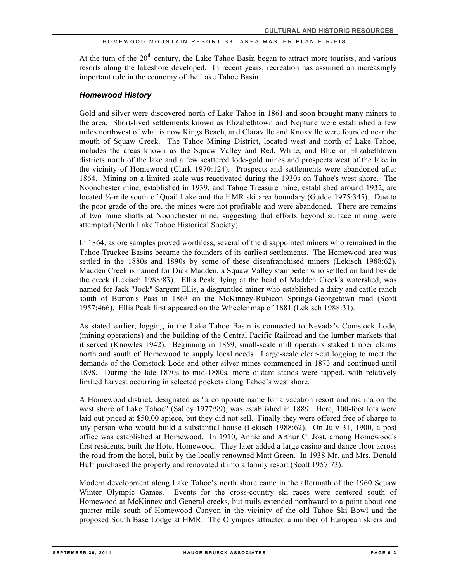At the turn of the  $20<sup>th</sup>$  century, the Lake Tahoe Basin began to attract more tourists, and various resorts along the lakeshore developed. In recent years, recreation has assumed an increasingly important role in the economy of the Lake Tahoe Basin.

#### *Homewood History*

Gold and silver were discovered north of Lake Tahoe in 1861 and soon brought many miners to the area. Short-lived settlements known as Elizabethtown and Neptune were established a few miles northwest of what is now Kings Beach, and Claraville and Knoxville were founded near the mouth of Squaw Creek. The Tahoe Mining District, located west and north of Lake Tahoe, includes the areas known as the Squaw Valley and Red, White, and Blue or Elizabethtown districts north of the lake and a few scattered lode-gold mines and prospects west of the lake in the vicinity of Homewood (Clark 1970:124). Prospects and settlements were abandoned after 1864. Mining on a limited scale was reactivated during the 1930s on Tahoe's west shore. The Noonchester mine, established in 1939, and Tahoe Treasure mine, established around 1932, are located ¼-mile south of Quail Lake and the HMR ski area boundary (Gudde 1975:345). Due to the poor grade of the ore, the mines were not profitable and were abandoned. There are remains of two mine shafts at Noonchester mine, suggesting that efforts beyond surface mining were attempted (North Lake Tahoe Historical Society).

In 1864, as ore samples proved worthless, several of the disappointed miners who remained in the Tahoe-Truckee Basins became the founders of its earliest settlements. The Homewood area was settled in the 1880s and 1890s by some of these disenfranchised miners (Lekisch 1988:62). Madden Creek is named for Dick Madden, a Squaw Valley stampeder who settled on land beside the creek (Lekisch 1988:83). Ellis Peak, lying at the head of Madden Creek's watershed, was named for Jack "Jock" Sargent Ellis, a disgruntled miner who established a dairy and cattle ranch south of Burton's Pass in 1863 on the McKinney-Rubicon Springs-Georgetown road (Scott 1957:466). Ellis Peak first appeared on the Wheeler map of 1881 (Lekisch 1988:31).

As stated earlier, logging in the Lake Tahoe Basin is connected to Nevada's Comstock Lode, (mining operations) and the building of the Central Pacific Railroad and the lumber markets that it served (Knowles 1942). Beginning in 1859, small-scale mill operators staked timber claims north and south of Homewood to supply local needs. Large-scale clear-cut logging to meet the demands of the Comstock Lode and other silver mines commenced in 1873 and continued until 1898. During the late 1870s to mid-1880s, more distant stands were tapped, with relatively limited harvest occurring in selected pockets along Tahoe's west shore.

A Homewood district, designated as "a composite name for a vacation resort and marina on the west shore of Lake Tahoe" (Salley 1977:99), was established in 1889. Here, 100-foot lots were laid out priced at \$50.00 apiece, but they did not sell. Finally they were offered free of charge to any person who would build a substantial house (Lekisch 1988:62). On July 31, 1900, a post office was established at Homewood. In 1910, Annie and Arthur C. Jost, among Homewood's first residents, built the Hotel Homewood. They later added a large casino and dance floor across the road from the hotel, built by the locally renowned Matt Green. In 1938 Mr. and Mrs. Donald Huff purchased the property and renovated it into a family resort (Scott 1957:73).

Modern development along Lake Tahoe's north shore came in the aftermath of the 1960 Squaw Winter Olympic Games. Events for the cross-country ski races were centered south of Homewood at McKinney and General creeks, but trails extended northward to a point about one quarter mile south of Homewood Canyon in the vicinity of the old Tahoe Ski Bowl and the proposed South Base Lodge at HMR. The Olympics attracted a number of European skiers and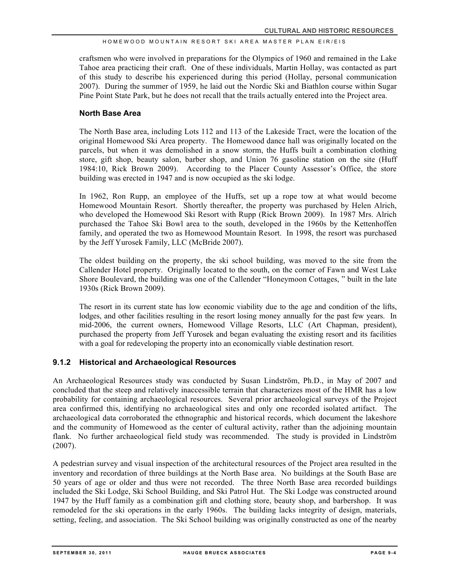craftsmen who were involved in preparations for the Olympics of 1960 and remained in the Lake Tahoe area practicing their craft. One of these individuals, Martin Hollay, was contacted as part of this study to describe his experienced during this period (Hollay, personal communication 2007). During the summer of 1959, he laid out the Nordic Ski and Biathlon course within Sugar Pine Point State Park, but he does not recall that the trails actually entered into the Project area.

#### **North Base Area**

The North Base area, including Lots 112 and 113 of the Lakeside Tract, were the location of the original Homewood Ski Area property. The Homewood dance hall was originally located on the parcels, but when it was demolished in a snow storm, the Huffs built a combination clothing store, gift shop, beauty salon, barber shop, and Union 76 gasoline station on the site (Huff 1984:10, Rick Brown 2009). According to the Placer County Assessor's Office, the store building was erected in 1947 and is now occupied as the ski lodge.

In 1962, Ron Rupp, an employee of the Huffs, set up a rope tow at what would become Homewood Mountain Resort. Shortly thereafter, the property was purchased by Helen Alrich, who developed the Homewood Ski Resort with Rupp (Rick Brown 2009). In 1987 Mrs. Alrich purchased the Tahoe Ski Bowl area to the south, developed in the 1960s by the Kettenhoffen family, and operated the two as Homewood Mountain Resort. In 1998, the resort was purchased by the Jeff Yurosek Family, LLC (McBride 2007).

The oldest building on the property, the ski school building, was moved to the site from the Callender Hotel property. Originally located to the south, on the corner of Fawn and West Lake Shore Boulevard, the building was one of the Callender "Honeymoon Cottages, " built in the late 1930s (Rick Brown 2009).

The resort in its current state has low economic viability due to the age and condition of the lifts, lodges, and other facilities resulting in the resort losing money annually for the past few years. In mid-2006, the current owners, Homewood Village Resorts, LLC (Art Chapman, president), purchased the property from Jeff Yurosek and began evaluating the existing resort and its facilities with a goal for redeveloping the property into an economically viable destination resort.

#### **9.1.2 Historical and Archaeological Resources**

An Archaeological Resources study was conducted by Susan Lindström, Ph.D., in May of 2007 and concluded that the steep and relatively inaccessible terrain that characterizes most of the HMR has a low probability for containing archaeological resources. Several prior archaeological surveys of the Project area confirmed this, identifying no archaeological sites and only one recorded isolated artifact. The archaeological data corroborated the ethnographic and historical records, which document the lakeshore and the community of Homewood as the center of cultural activity, rather than the adjoining mountain flank. No further archaeological field study was recommended. The study is provided in Lindström  $(2007)$ .

A pedestrian survey and visual inspection of the architectural resources of the Project area resulted in the inventory and recordation of three buildings at the North Base area. No buildings at the South Base are 50 years of age or older and thus were not recorded. The three North Base area recorded buildings included the Ski Lodge, Ski School Building, and Ski Patrol Hut. The Ski Lodge was constructed around 1947 by the Huff family as a combination gift and clothing store, beauty shop, and barbershop. It was remodeled for the ski operations in the early 1960s. The building lacks integrity of design, materials, setting, feeling, and association. The Ski School building was originally constructed as one of the nearby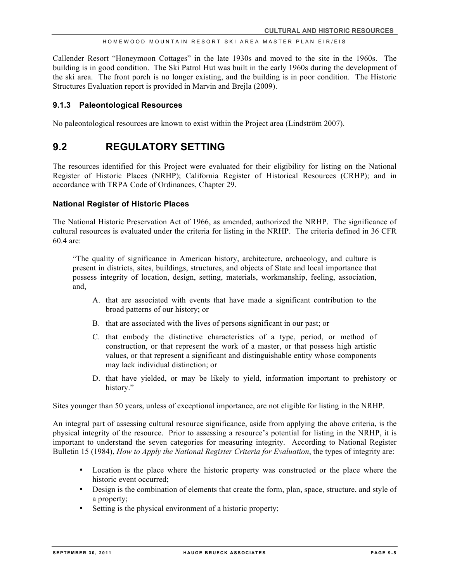Callender Resort "Honeymoon Cottages" in the late 1930s and moved to the site in the 1960s. The building is in good condition. The Ski Patrol Hut was built in the early 1960s during the development of the ski area. The front porch is no longer existing, and the building is in poor condition. The Historic Structures Evaluation report is provided in Marvin and Brejla (2009).

#### **9.1.3 Paleontological Resources**

No paleontological resources are known to exist within the Project area (Lindström 2007).

### **9.2 REGULATORY SETTING**

The resources identified for this Project were evaluated for their eligibility for listing on the National Register of Historic Places (NRHP); California Register of Historical Resources (CRHP); and in accordance with TRPA Code of Ordinances, Chapter 29.

#### **National Register of Historic Places**

The National Historic Preservation Act of 1966, as amended, authorized the NRHP. The significance of cultural resources is evaluated under the criteria for listing in the NRHP. The criteria defined in 36 CFR  $60.4$  are:

"The quality of significance in American history, architecture, archaeology, and culture is present in districts, sites, buildings, structures, and objects of State and local importance that possess integrity of location, design, setting, materials, workmanship, feeling, association, and,

- A. that are associated with events that have made a significant contribution to the broad patterns of our history; or
- B. that are associated with the lives of persons significant in our past; or
- C. that embody the distinctive characteristics of a type, period, or method of construction, or that represent the work of a master, or that possess high artistic values, or that represent a significant and distinguishable entity whose components may lack individual distinction; or
- D. that have yielded, or may be likely to yield, information important to prehistory or history."

Sites younger than 50 years, unless of exceptional importance, are not eligible for listing in the NRHP.

An integral part of assessing cultural resource significance, aside from applying the above criteria, is the physical integrity of the resource. Prior to assessing a resource's potential for listing in the NRHP, it is important to understand the seven categories for measuring integrity. According to National Register Bulletin 15 (1984), *How to Apply the National Register Criteria for Evaluation*, the types of integrity are:

- Location is the place where the historic property was constructed or the place where the historic event occurred;
- Design is the combination of elements that create the form, plan, space, structure, and style of a property;
- Setting is the physical environment of a historic property;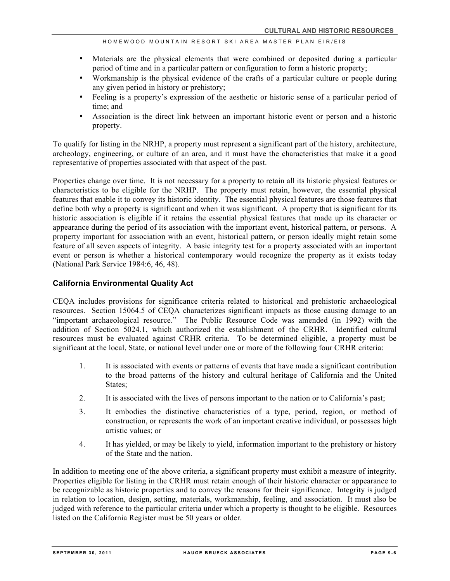- Materials are the physical elements that were combined or deposited during a particular period of time and in a particular pattern or configuration to form a historic property;
- Workmanship is the physical evidence of the crafts of a particular culture or people during any given period in history or prehistory;
- Feeling is a property's expression of the aesthetic or historic sense of a particular period of time; and
- Association is the direct link between an important historic event or person and a historic property.

To qualify for listing in the NRHP, a property must represent a significant part of the history, architecture, archeology, engineering, or culture of an area, and it must have the characteristics that make it a good representative of properties associated with that aspect of the past.

Properties change over time. It is not necessary for a property to retain all its historic physical features or characteristics to be eligible for the NRHP. The property must retain, however, the essential physical features that enable it to convey its historic identity. The essential physical features are those features that define both why a property is significant and when it was significant. A property that is significant for its historic association is eligible if it retains the essential physical features that made up its character or appearance during the period of its association with the important event, historical pattern, or persons. A property important for association with an event, historical pattern, or person ideally might retain some feature of all seven aspects of integrity. A basic integrity test for a property associated with an important event or person is whether a historical contemporary would recognize the property as it exists today (National Park Service 1984:6, 46, 48).

#### **California Environmental Quality Act**

CEQA includes provisions for significance criteria related to historical and prehistoric archaeological resources. Section 15064.5 of CEQA characterizes significant impacts as those causing damage to an "important archaeological resource." The Public Resource Code was amended (in 1992) with the addition of Section 5024.1, which authorized the establishment of the CRHR. Identified cultural resources must be evaluated against CRHR criteria. To be determined eligible, a property must be significant at the local, State, or national level under one or more of the following four CRHR criteria:

- 1. It is associated with events or patterns of events that have made a significant contribution to the broad patterns of the history and cultural heritage of California and the United States;
- 2. It is associated with the lives of persons important to the nation or to California's past;
- 3. It embodies the distinctive characteristics of a type, period, region, or method of construction, or represents the work of an important creative individual, or possesses high artistic values; or
- 4. It has yielded, or may be likely to yield, information important to the prehistory or history of the State and the nation.

In addition to meeting one of the above criteria, a significant property must exhibit a measure of integrity. Properties eligible for listing in the CRHR must retain enough of their historic character or appearance to be recognizable as historic properties and to convey the reasons for their significance. Integrity is judged in relation to location, design, setting, materials, workmanship, feeling, and association. It must also be judged with reference to the particular criteria under which a property is thought to be eligible. Resources listed on the California Register must be 50 years or older.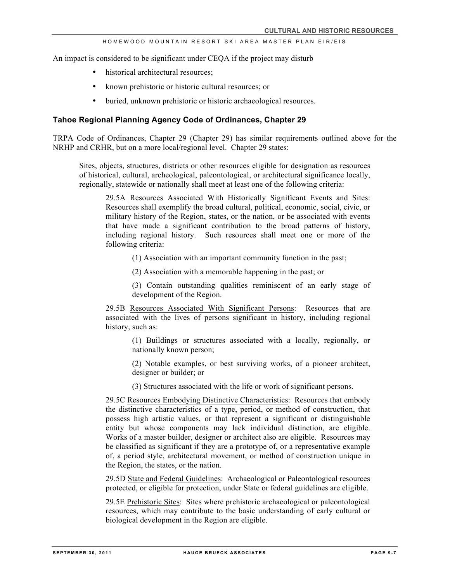An impact is considered to be significant under CEQA if the project may disturb

- historical architectural resources;
- known prehistoric or historic cultural resources; or
- buried, unknown prehistoric or historic archaeological resources.

#### **Tahoe Regional Planning Agency Code of Ordinances, Chapter 29**

TRPA Code of Ordinances, Chapter 29 (Chapter 29) has similar requirements outlined above for the NRHP and CRHR, but on a more local/regional level. Chapter 29 states:

Sites, objects, structures, districts or other resources eligible for designation as resources of historical, cultural, archeological, paleontological, or architectural significance locally, regionally, statewide or nationally shall meet at least one of the following criteria:

29.5A Resources Associated With Historically Significant Events and Sites: Resources shall exemplify the broad cultural, political, economic, social, civic, or military history of the Region, states, or the nation, or be associated with events that have made a significant contribution to the broad patterns of history, including regional history. Such resources shall meet one or more of the following criteria:

(1) Association with an important community function in the past;

(2) Association with a memorable happening in the past; or

(3) Contain outstanding qualities reminiscent of an early stage of development of the Region.

29.5B Resources Associated With Significant Persons: Resources that are associated with the lives of persons significant in history, including regional history, such as:

> (1) Buildings or structures associated with a locally, regionally, or nationally known person;

> (2) Notable examples, or best surviving works, of a pioneer architect, designer or builder; or

(3) Structures associated with the life or work of significant persons.

29.5C Resources Embodying Distinctive Characteristics: Resources that embody the distinctive characteristics of a type, period, or method of construction, that possess high artistic values, or that represent a significant or distinguishable entity but whose components may lack individual distinction, are eligible. Works of a master builder, designer or architect also are eligible. Resources may be classified as significant if they are a prototype of, or a representative example of, a period style, architectural movement, or method of construction unique in the Region, the states, or the nation.

29.5D State and Federal Guidelines: Archaeological or Paleontological resources protected, or eligible for protection, under State or federal guidelines are eligible.

29.5E Prehistoric Sites: Sites where prehistoric archaeological or paleontological resources, which may contribute to the basic understanding of early cultural or biological development in the Region are eligible.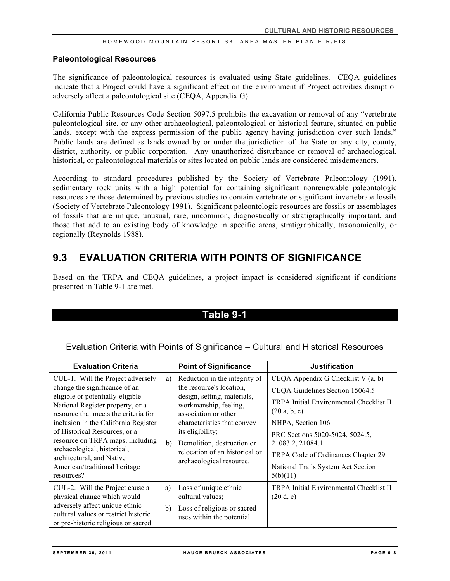#### **Paleontological Resources**

The significance of paleontological resources is evaluated using State guidelines. CEQA guidelines indicate that a Project could have a significant effect on the environment if Project activities disrupt or adversely affect a paleontological site (CEQA, Appendix G).

California Public Resources Code Section 5097.5 prohibits the excavation or removal of any "vertebrate paleontological site, or any other archaeological, paleontological or historical feature, situated on public lands, except with the express permission of the public agency having jurisdiction over such lands." Public lands are defined as lands owned by or under the jurisdiction of the State or any city, county, district, authority, or public corporation. Any unauthorized disturbance or removal of archaeological, historical, or paleontological materials or sites located on public lands are considered misdemeanors.

According to standard procedures published by the Society of Vertebrate Paleontology (1991), sedimentary rock units with a high potential for containing significant nonrenewable paleontologic resources are those determined by previous studies to contain vertebrate or significant invertebrate fossils (Society of Vertebrate Paleontology 1991). Significant paleontologic resources are fossils or assemblages of fossils that are unique, unusual, rare, uncommon, diagnostically or stratigraphically important, and those that add to an existing body of knowledge in specific areas, stratigraphically, taxonomically, or regionally (Reynolds 1988).

# **9.3 EVALUATION CRITERIA WITH POINTS OF SIGNIFICANCE**

Based on the TRPA and CEQA guidelines, a project impact is considered significant if conditions presented in Table 9-1 are met.

### **Table 9-1**

Evaluation Criteria with Points of Significance – Cultural and Historical Resources

| <b>Evaluation Criteria</b>                                                                                                                                                                                                                                                                                                                                                                                 |          | <b>Point of Significance</b>                                                                                                                                                                                                                                                             | <b>Justification</b>                                                                                                                                                                                                                                                                                        |
|------------------------------------------------------------------------------------------------------------------------------------------------------------------------------------------------------------------------------------------------------------------------------------------------------------------------------------------------------------------------------------------------------------|----------|------------------------------------------------------------------------------------------------------------------------------------------------------------------------------------------------------------------------------------------------------------------------------------------|-------------------------------------------------------------------------------------------------------------------------------------------------------------------------------------------------------------------------------------------------------------------------------------------------------------|
| CUL-1. Will the Project adversely<br>change the significance of an<br>eligible or potentially-eligible<br>National Register property, or a<br>resource that meets the criteria for<br>inclusion in the California Register<br>of Historical Resources, or a<br>resource on TRPA maps, including<br>archaeological, historical,<br>architectural, and Native<br>American/traditional heritage<br>resources? | a)<br>b) | Reduction in the integrity of<br>the resource's location,<br>design, setting, materials,<br>workmanship, feeling,<br>association or other<br>characteristics that convey<br>its eligibility;<br>Demolition, destruction or<br>relocation of an historical or<br>archaeological resource. | CEQA Appendix G Checklist V (a, b)<br>CEQA Guidelines Section 15064.5<br><b>TRPA Initial Environmental Checklist II</b><br>(20 a, b, c)<br>NHPA, Section 106<br>PRC Sections 5020-5024, 5024.5,<br>21083.2, 21084.1<br>TRPA Code of Ordinances Chapter 29<br>National Trails System Act Section<br>5(b)(11) |
| CUL-2. Will the Project cause a<br>physical change which would<br>adversely affect unique ethnic<br>cultural values or restrict historic<br>or pre-historic religious or sacred                                                                                                                                                                                                                            | a)<br>b) | Loss of unique ethnic<br>cultural values;<br>Loss of religious or sacred<br>uses within the potential                                                                                                                                                                                    | <b>TRPA Initial Environmental Checklist II</b><br>(20 d, e)                                                                                                                                                                                                                                                 |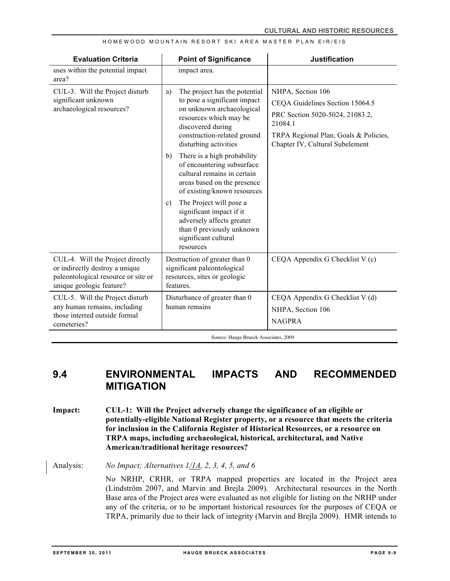| <b>Evaluation Criteria</b>                                                                                                            | <b>Point of Significance</b>                                                                                                                                                                                                                                                                                                                                                                                                                                                                                                                    | <b>Justification</b>                                                                                                                                                           |
|---------------------------------------------------------------------------------------------------------------------------------------|-------------------------------------------------------------------------------------------------------------------------------------------------------------------------------------------------------------------------------------------------------------------------------------------------------------------------------------------------------------------------------------------------------------------------------------------------------------------------------------------------------------------------------------------------|--------------------------------------------------------------------------------------------------------------------------------------------------------------------------------|
| uses within the potential impact<br>area?                                                                                             | impact area.                                                                                                                                                                                                                                                                                                                                                                                                                                                                                                                                    |                                                                                                                                                                                |
| CUL-3. Will the Project disturb<br>significant unknown<br>archaeological resources?                                                   | The project has the potential<br>a)<br>to pose a significant impact<br>on unknown archaeological<br>resources which may be<br>discovered during<br>construction-related ground<br>disturbing activities<br>There is a high probability<br>b)<br>of encountering subsurface<br>cultural remains in certain<br>areas based on the presence<br>of existing/known resources<br>The Project will pose a<br>$\mathbf{c}$ )<br>significant impact if it<br>adversely affects greater<br>than 0 previously unknown<br>significant cultural<br>resources | NHPA, Section 106<br>CEQA Guidelines Section 15064.5<br>PRC Section 5020-5024, 21083.2,<br>21084.1<br>TRPA Regional Plan, Goals & Policies,<br>Chapter IV, Cultural Subelement |
| CUL-4. Will the Project directly<br>or indirectly destroy a unique<br>paleontological resource or site or<br>unique geologic feature? | Destruction of greater than 0<br>significant paleontological<br>resources, sites or geologic<br>features.                                                                                                                                                                                                                                                                                                                                                                                                                                       | CEQA Appendix G Checklist V (c)                                                                                                                                                |
| CUL-5. Will the Project disturb<br>any human remains, including<br>those interred outside formal<br>cemeteries?                       | Disturbance of greater than 0<br>human remains                                                                                                                                                                                                                                                                                                                                                                                                                                                                                                  | CEQA Appendix G Checklist V (d)<br>NHPA, Section 106<br><b>NAGPRA</b>                                                                                                          |

Source: Hauge Brueck Associates, 2009

# **9.4 ENVIRONMENTAL IMPACTS AND RECOMMENDED MITIGATION**

**Impact: CUL-1: Will the Project adversely change the significance of an eligible or potentially-eligible National Register property, or a resource that meets the criteria for inclusion in the California Register of Historical Resources, or a resource on TRPA maps, including archaeological, historical, architectural, and Native American/traditional heritage resources?**

Analysis: *No Impact; Alternatives 1/1A, 2, 3, 4, 5, and 6* 

No NRHP, CRHR, or TRPA mapped properties are located in the Project area (Lindström 2007, and Marvin and Brejla 2009). Architectural resources in the North Base area of the Project area were evaluated as not eligible for listing on the NRHP under any of the criteria, or to be important historical resources for the purposes of CEQA or TRPA, primarily due to their lack of integrity (Marvin and Brejla 2009). HMR intends to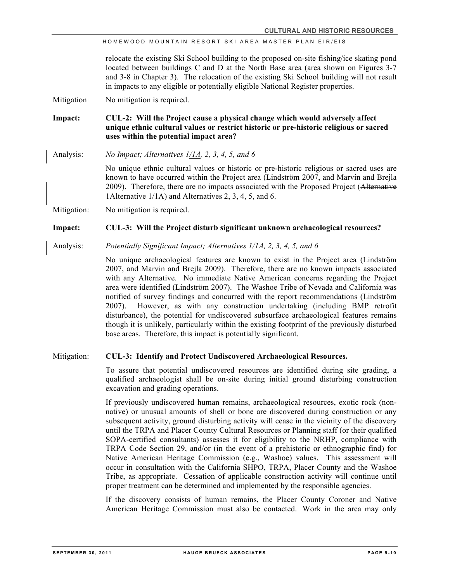relocate the existing Ski School building to the proposed on-site fishing/ice skating pond located between buildings C and D at the North Base area (area shown on Figures 3-7 and 3-8 in Chapter 3). The relocation of the existing Ski School building will not result in impacts to any eligible or potentially eligible National Register properties.

Mitigation No mitigation is required.

**Impact: CUL-2: Will the Project cause a physical change which would adversely affect unique ethnic cultural values or restrict historic or pre-historic religious or sacred uses within the potential impact area?**

Analysis: *No Impact; Alternatives 1/1A, 2, 3, 4, 5, and 6*

No unique ethnic cultural values or historic or pre-historic religious or sacred uses are known to have occurred within the Project area (Lindström 2007, and Marvin and Brejla 2009). Therefore, there are no impacts associated with the Proposed Project (Alternative 1Alternative 1/1A) and Alternatives 2, 3, 4, 5, and 6.

Mitigation: No mitigation is required.

#### **Impact: CUL-3: Will the Project disturb significant unknown archaeological resources?**

Analysis: *Potentially Significant Impact; Alternatives 1/1A, 2, 3, 4, 5, and 6*

No unique archaeological features are known to exist in the Project area (Lindström 2007, and Marvin and Brejla 2009). Therefore, there are no known impacts associated with any Alternative. No immediate Native American concerns regarding the Project area were identified (Lindström 2007). The Washoe Tribe of Nevada and California was notified of survey findings and concurred with the report recommendations (Lindström 2007). However, as with any construction undertaking (including BMP retrofit disturbance), the potential for undiscovered subsurface archaeological features remains though it is unlikely, particularly within the existing footprint of the previously disturbed base areas. Therefore, this impact is potentially significant.

#### Mitigation: **CUL-3: Identify and Protect Undiscovered Archaeological Resources.**

To assure that potential undiscovered resources are identified during site grading, a qualified archaeologist shall be on-site during initial ground disturbing construction excavation and grading operations.

If previously undiscovered human remains, archaeological resources, exotic rock (nonnative) or unusual amounts of shell or bone are discovered during construction or any subsequent activity, ground disturbing activity will cease in the vicinity of the discovery until the TRPA and Placer County Cultural Resources or Planning staff (or their qualified SOPA-certified consultants) assesses it for eligibility to the NRHP, compliance with TRPA Code Section 29, and/or (in the event of a prehistoric or ethnographic find) for Native American Heritage Commission (e.g., Washoe) values. This assessment will occur in consultation with the California SHPO, TRPA, Placer County and the Washoe Tribe, as appropriate. Cessation of applicable construction activity will continue until proper treatment can be determined and implemented by the responsible agencies.

If the discovery consists of human remains, the Placer County Coroner and Native American Heritage Commission must also be contacted. Work in the area may only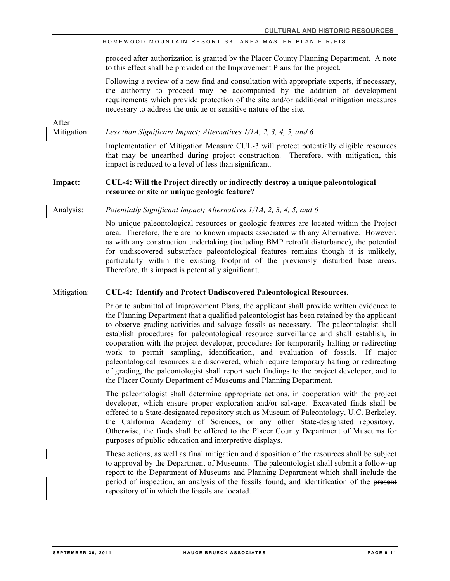proceed after authorization is granted by the Placer County Planning Department. A note to this effect shall be provided on the Improvement Plans for the project.

Following a review of a new find and consultation with appropriate experts, if necessary, the authority to proceed may be accompanied by the addition of development requirements which provide protection of the site and/or additional mitigation measures necessary to address the unique or sensitive nature of the site.

After

Mitigation: *Less than Significant Impact; Alternatives 1/1A, 2, 3, 4, 5, and 6*

Implementation of Mitigation Measure CUL-3 will protect potentially eligible resources that may be unearthed during project construction. Therefore, with mitigation, this impact is reduced to a level of less than significant.

#### **Impact: CUL-4: Will the Project directly or indirectly destroy a unique paleontological resource or site or unique geologic feature?**

Analysis: *Potentially Significant Impact; Alternatives 1/1A, 2, 3, 4, 5, and 6*

No unique paleontological resources or geologic features are located within the Project area. Therefore, there are no known impacts associated with any Alternative. However, as with any construction undertaking (including BMP retrofit disturbance), the potential for undiscovered subsurface paleontological features remains though it is unlikely, particularly within the existing footprint of the previously disturbed base areas. Therefore, this impact is potentially significant.

#### Mitigation: **CUL-4: Identify and Protect Undiscovered Paleontological Resources.**

Prior to submittal of Improvement Plans, the applicant shall provide written evidence to the Planning Department that a qualified paleontologist has been retained by the applicant to observe grading activities and salvage fossils as necessary. The paleontologist shall establish procedures for paleontological resource surveillance and shall establish, in cooperation with the project developer, procedures for temporarily halting or redirecting work to permit sampling, identification, and evaluation of fossils. If major paleontological resources are discovered, which require temporary halting or redirecting of grading, the paleontologist shall report such findings to the project developer, and to the Placer County Department of Museums and Planning Department.

The paleontologist shall determine appropriate actions, in cooperation with the project developer, which ensure proper exploration and/or salvage. Excavated finds shall be offered to a State-designated repository such as Museum of Paleontology, U.C. Berkeley, the California Academy of Sciences, or any other State-designated repository. Otherwise, the finds shall be offered to the Placer County Department of Museums for purposes of public education and interpretive displays.

These actions, as well as final mitigation and disposition of the resources shall be subject to approval by the Department of Museums. The paleontologist shall submit a follow-up report to the Department of Museums and Planning Department which shall include the period of inspection, an analysis of the fossils found, and identification of the present repository of in which the fossils are located.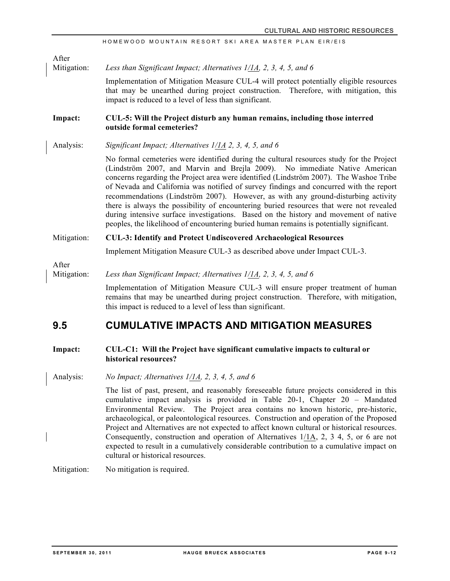Mitigation: *Less than Significant Impact; Alternatives 1/1A, 2, 3, 4, 5, and 6*

Implementation of Mitigation Measure CUL-4 will protect potentially eligible resources that may be unearthed during project construction. Therefore, with mitigation, this impact is reduced to a level of less than significant.

#### **Impact: CUL-5: Will the Project disturb any human remains, including those interred outside formal cemeteries?**

Analysis: *Significant Impact; Alternatives 1/1A 2, 3, 4, 5, and 6*

No formal cemeteries were identified during the cultural resources study for the Project (Lindström 2007, and Marvin and Brejla 2009). No immediate Native American concerns regarding the Project area were identified (Lindström 2007). The Washoe Tribe of Nevada and California was notified of survey findings and concurred with the report recommendations (Lindström 2007). However, as with any ground-disturbing activity there is always the possibility of encountering buried resources that were not revealed during intensive surface investigations. Based on the history and movement of native peoples, the likelihood of encountering buried human remains is potentially significant.

#### Mitigation: **CUL-3: Identify and Protect Undiscovered Archaeological Resources**

Implement Mitigation Measure CUL-3 as described above under Impact CUL-3.

After

After

#### Mitigation: *Less than Significant Impact; Alternatives 1/1A, 2, 3, 4, 5, and 6*

Implementation of Mitigation Measure CUL-3 will ensure proper treatment of human remains that may be unearthed during project construction. Therefore, with mitigation, this impact is reduced to a level of less than significant.

### **9.5 CUMULATIVE IMPACTS AND MITIGATION MEASURES**

#### **Impact: CUL-C1: Will the Project have significant cumulative impacts to cultural or historical resources?**

Analysis: *No Impact; Alternatives 1/1A, 2, 3, 4, 5, and 6*

The list of past, present, and reasonably foreseeable future projects considered in this cumulative impact analysis is provided in Table 20-1, Chapter 20 – Mandated Environmental Review. The Project area contains no known historic, pre-historic, archaeological, or paleontological resources. Construction and operation of the Proposed Project and Alternatives are not expected to affect known cultural or historical resources. Consequently, construction and operation of Alternatives 1/1A, 2, 3 4, 5, or 6 are not expected to result in a cumulatively considerable contribution to a cumulative impact on cultural or historical resources.

Mitigation: No mitigation is required.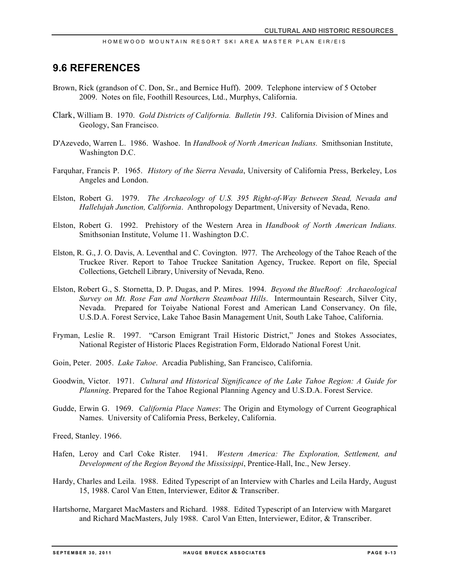### **9.6 REFERENCES**

- Brown, Rick (grandson of C. Don, Sr., and Bernice Huff). 2009. Telephone interview of 5 October 2009. Notes on file, Foothill Resources, Ltd., Murphys, California.
- Clark, William B. 1970. *Gold Districts of California. Bulletin 193*. California Division of Mines and Geology, San Francisco.
- D'Azevedo, Warren L. 1986. Washoe. In *Handbook of North American Indians.* Smithsonian Institute, Washington D.C.
- Farquhar, Francis P. 1965. *History of the Sierra Nevada*, University of California Press, Berkeley, Los Angeles and London.
- Elston, Robert G. 1979. *The Archaeology of U.S. 395 Right-of-Way Between Stead, Nevada and Hallelujah Junction, California*. Anthropology Department, University of Nevada, Reno.
- Elston, Robert G. 1992. Prehistory of the Western Area in *Handbook of North American Indians.*  Smithsonian Institute, Volume 11. Washington D.C.
- Elston, R. G., J. O. Davis, A. Leventhal and C. Covington. l977. The Archeology of the Tahoe Reach of the Truckee River. Report to Tahoe Truckee Sanitation Agency, Truckee. Report on file, Special Collections, Getchell Library, University of Nevada, Reno.
- Elston, Robert G., S. Stornetta, D. P. Dugas, and P. Mires. 1994. *Beyond the BlueRoof: Archaeological Survey on Mt. Rose Fan and Northern Steamboat Hills*. Intermountain Research, Silver City, Nevada. Prepared for Toiyabe National Forest and American Land Conservancy. On file, U.S.D.A. Forest Service, Lake Tahoe Basin Management Unit, South Lake Tahoe, California.
- Fryman, Leslie R. 1997. "Carson Emigrant Trail Historic District," Jones and Stokes Associates, National Register of Historic Places Registration Form, Eldorado National Forest Unit.
- Goin, Peter. 2005. *Lake Tahoe*. Arcadia Publishing, San Francisco, California.
- Goodwin, Victor. 1971. *Cultural and Historical Significance of the Lake Tahoe Region: A Guide for Planning*. Prepared for the Tahoe Regional Planning Agency and U.S.D.A. Forest Service.
- Gudde, Erwin G. 1969. *California Place Names*: The Origin and Etymology of Current Geographical Names. University of California Press, Berkeley, California.

Freed, Stanley. 1966.

- Hafen, Leroy and Carl Coke Rister. 1941. *Western America: The Exploration, Settlement, and Development of the Region Beyond the Mississippi*, Prentice-Hall, Inc., New Jersey.
- Hardy, Charles and Leila. 1988. Edited Typescript of an Interview with Charles and Leila Hardy, August 15, 1988. Carol Van Etten, Interviewer, Editor & Transcriber.
- Hartshorne, Margaret MacMasters and Richard. 1988. Edited Typescript of an Interview with Margaret and Richard MacMasters, July 1988. Carol Van Etten, Interviewer, Editor, & Transcriber.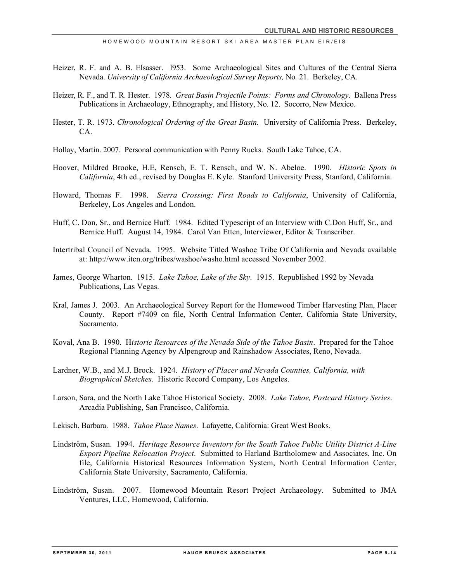- Heizer, R. F. and A. B. Elsasser. l953. Some Archaeological Sites and Cultures of the Central Sierra Nevada. *University of California Archaeological Survey Reports,* No*.* 21. Berkeley, CA.
- Heizer, R. F., and T. R. Hester. 1978. *Great Basin Projectile Points: Forms and Chronology*. Ballena Press Publications in Archaeology, Ethnography, and History, No. 12. Socorro, New Mexico.
- Hester, T. R. 1973. *Chronological Ordering of the Great Basin.* University of California Press. Berkeley, CA.
- Hollay, Martin. 2007. Personal communication with Penny Rucks. South Lake Tahoe, CA.
- Hoover, Mildred Brooke, H.E, Rensch, E. T. Rensch, and W. N. Abeloe. 1990. *Historic Spots in California*, 4th ed., revised by Douglas E. Kyle. Stanford University Press, Stanford, California.
- Howard, Thomas F. 1998. *Sierra Crossing: First Roads to California*, University of California, Berkeley, Los Angeles and London.
- Huff, C. Don, Sr., and Bernice Huff. 1984. Edited Typescript of an Interview with C.Don Huff, Sr., and Bernice Huff. August 14, 1984. Carol Van Etten, Interviewer, Editor & Transcriber.
- Intertribal Council of Nevada. 1995. Website Titled Washoe Tribe Of California and Nevada available at: http://www.itcn.org/tribes/washoe/washo.html accessed November 2002.
- James, George Wharton. 1915. *Lake Tahoe, Lake of the Sky*. 1915. Republished 1992 by Nevada Publications, Las Vegas.
- Kral, James J. 2003. An Archaeological Survey Report for the Homewood Timber Harvesting Plan, Placer County. Report #7409 on file, North Central Information Center, California State University, Sacramento.
- Koval, Ana B. 1990. H*istoric Resources of the Nevada Side of the Tahoe Basin*. Prepared for the Tahoe Regional Planning Agency by Alpengroup and Rainshadow Associates, Reno, Nevada.
- Lardner, W.B., and M.J. Brock. 1924. *History of Placer and Nevada Counties, California, with Biographical Sketches.* Historic Record Company, Los Angeles.
- Larson, Sara, and the North Lake Tahoe Historical Society. 2008. *Lake Tahoe, Postcard History Series*. Arcadia Publishing, San Francisco, California.
- Lekisch, Barbara. 1988. *Tahoe Place Names*. Lafayette, California: Great West Books.
- Lindström, Susan. 1994. *Heritage Resource Inventory for the South Tahoe Public Utility District A-Line Export Pipeline Relocation Project*. Submitted to Harland Bartholomew and Associates, Inc. On file, California Historical Resources Information System, North Central Information Center, California State University, Sacramento, California.
- Lindström, Susan. 2007. Homewood Mountain Resort Project Archaeology. Submitted to JMA Ventures, LLC, Homewood, California.